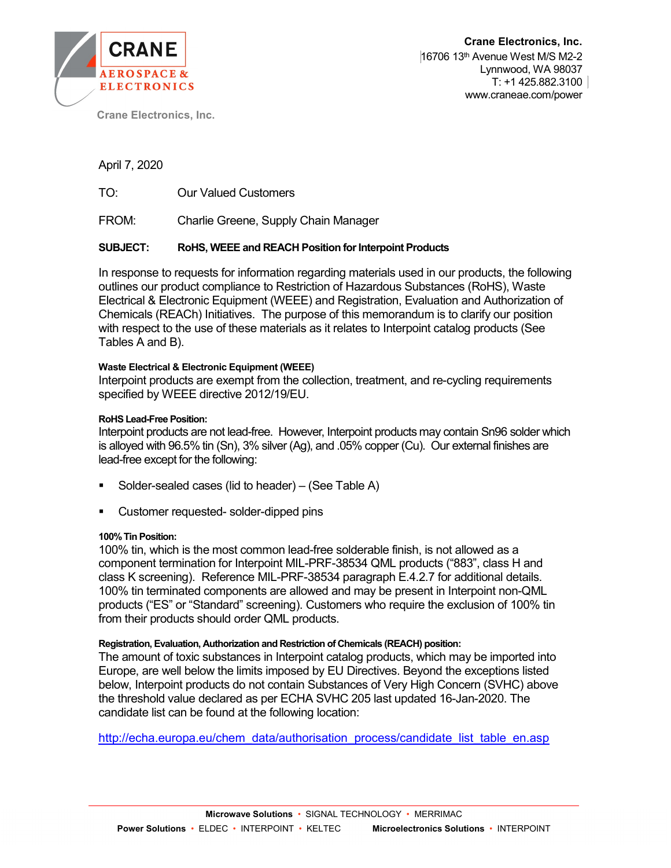

Crane Electronics, Inc.

April 7, 2020

TO: Our Valued Customers

FROM: Charlie Greene, Supply Chain Manager

## SUBJECT: RoHS, WEEE and REACH Position for Interpoint Products

In response to requests for information regarding materials used in our products, the following outlines our product compliance to Restriction of Hazardous Substances (RoHS), Waste Electrical & Electronic Equipment (WEEE) and Registration, Evaluation and Authorization of Chemicals (REACh) Initiatives. The purpose of this memorandum is to clarify our position with respect to the use of these materials as it relates to Interpoint catalog products (See Tables A and B).

#### Waste Electrical & Electronic Equipment (WEEE)

Interpoint products are exempt from the collection, treatment, and re-cycling requirements specified by WEEE directive 2012/19/EU.

#### RoHS Lead-Free Position:

Interpoint products are not lead-free. However, Interpoint products may contain Sn96 solder which is alloyed with 96.5% tin (Sn), 3% silver (Ag), and .05% copper (Cu). Our external finishes are lead-free except for the following:

- Solder-sealed cases (lid to header) (See Table A)
- **EXECUSTOMER THE CUSTOMER CONCERCITE CONCERCITE CONCERCITES**

#### 100% Tin Position:

100% tin, which is the most common lead-free solderable finish, is not allowed as a component termination for Interpoint MIL-PRF-38534 QML products ("883", class H and class K screening). Reference MIL-PRF-38534 paragraph E.4.2.7 for additional details. 100% tin terminated components are allowed and may be present in Interpoint non-QML products ("ES" or "Standard" screening). Customers who require the exclusion of 100% tin from their products should order QML products.

#### Registration, Evaluation, Authorization and Restriction of Chemicals (REACH) position:

The amount of toxic substances in Interpoint catalog products, which may be imported into Europe, are well below the limits imposed by EU Directives. Beyond the exceptions listed below, Interpoint products do not contain Substances of Very High Concern (SVHC) above the threshold value declared as per ECHA SVHC 205 last updated 16-Jan-2020. The candidate list can be found at the following location:

http://echa.europa.eu/chem\_data/authorisation\_process/candidate\_list\_table\_en.asp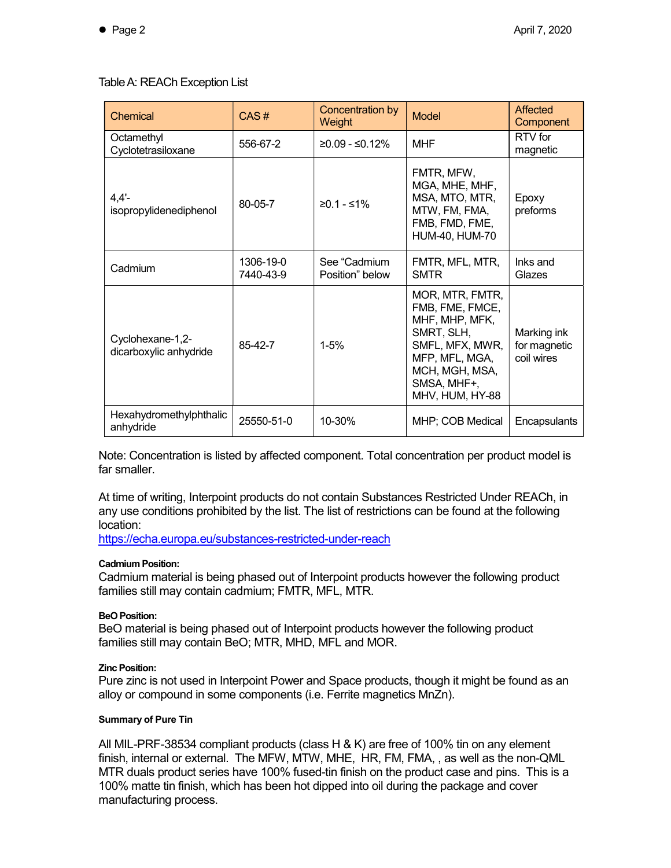# Table A: REACh Exception List

| Chemical                                   | CAS#                   | Concentration by<br>Weight      | <b>Model</b>                                                                                                                                                | Affected<br>Component                     |
|--------------------------------------------|------------------------|---------------------------------|-------------------------------------------------------------------------------------------------------------------------------------------------------------|-------------------------------------------|
| Octamethyl<br>Cyclotetrasiloxane           | 556-67-2               | $≥0.09 - ≤0.12%$                | <b>MHF</b>                                                                                                                                                  | RTV for<br>magnetic                       |
| $4,4'$ -<br>isopropylidenediphenol         | 80-05-7                | $≥0.1 - ≤1%$                    | FMTR, MFW,<br>MGA, MHE, MHF,<br>MSA, MTO, MTR,<br>MTW, FM, FMA,<br>FMB, FMD, FME,<br>HUM-40, HUM-70                                                         | Epoxy<br>preforms                         |
| Cadmium                                    | 1306-19-0<br>7440-43-9 | See "Cadmium<br>Position" below | FMTR, MFL, MTR,<br><b>SMTR</b>                                                                                                                              | Inks and<br>Glazes                        |
| Cyclohexane-1,2-<br>dicarboxylic anhydride | 85-42-7                | $1 - 5%$                        | MOR, MTR, FMTR,<br>FMB, FME, FMCE,<br>MHF, MHP, MFK,<br>SMRT, SLH,<br>SMFL, MFX, MWR,<br>MFP, MFL, MGA,<br>MCH, MGH, MSA,<br>SMSA, MHF+,<br>MHV, HUM, HY-88 | Marking ink<br>for magnetic<br>coil wires |
| Hexahydromethylphthalic<br>anhydride       | 25550-51-0             | 10-30%                          | MHP; COB Medical                                                                                                                                            | Encapsulants                              |

Note: Concentration is listed by affected component. Total concentration per product model is far smaller.

At time of writing, Interpoint products do not contain Substances Restricted Under REACh, in any use conditions prohibited by the list. The list of restrictions can be found at the following location:

https://echa.europa.eu/substances-restricted-under-reach

## Cadmium Position:

Cadmium material is being phased out of Interpoint products however the following product families still may contain cadmium; FMTR, MFL, MTR.

## BeO Position:

BeO material is being phased out of Interpoint products however the following product families still may contain BeO; MTR, MHD, MFL and MOR.

## Zinc Position:

Pure zinc is not used in Interpoint Power and Space products, though it might be found as an alloy or compound in some components (i.e. Ferrite magnetics MnZn).

## Summary of Pure Tin

All MIL-PRF-38534 compliant products (class H & K) are free of 100% tin on any element finish, internal or external. The MFW, MTW, MHE, HR, FM, FMA, , as well as the non-QML MTR duals product series have 100% fused-tin finish on the product case and pins. This is a 100% matte tin finish, which has been hot dipped into oil during the package and cover manufacturing process.